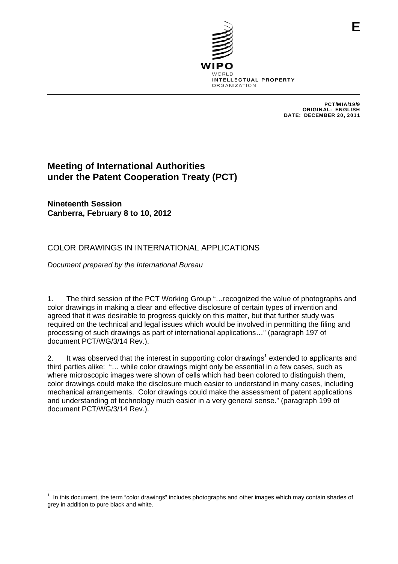

PCT/MIA/19/9 ORIGINAL: ENGLISH DATE: DECEMBER 20, 2011

**E**

# **Meeting of International Authorities under the Patent Cooperation Treaty (PCT)**

**Nineteenth Session Canberra, February 8 to 10, 2012** 

# COLOR DRAWINGS IN INTERNATIONAL APPLICATIONS

*Document prepared by the International Bureau* 

1. The third session of the PCT Working Group "…recognized the value of photographs and color drawings in making a clear and effective disclosure of certain types of invention and agreed that it was desirable to progress quickly on this matter, but that further study was required on the technical and legal issues which would be involved in permitting the filing and processing of such drawings as part of international applications…" (paragraph 197 of document PCT/WG/3/14 Rev.).

2. It was observed that the interest in supporting color drawings<sup>1</sup> extended to applicants and third parties alike: "… while color drawings might only be essential in a few cases, such as where microscopic images were shown of cells which had been colored to distinguish them, color drawings could make the disclosure much easier to understand in many cases, including mechanical arrangements. Color drawings could make the assessment of patent applications and understanding of technology much easier in a very general sense." (paragraph 199 of document PCT/WG/3/14 Rev.).

 1 In this document, the term "color drawings" includes photographs and other images which may contain shades of grey in addition to pure black and white.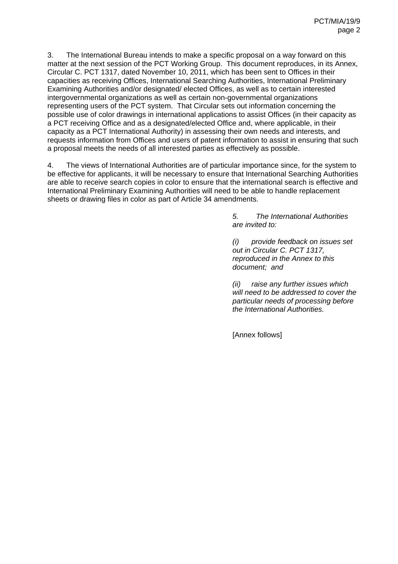3. The International Bureau intends to make a specific proposal on a way forward on this matter at the next session of the PCT Working Group. This document reproduces, in its Annex, Circular C. PCT 1317, dated November 10, 2011, which has been sent to Offices in their capacities as receiving Offices, International Searching Authorities, International Preliminary Examining Authorities and/or designated/ elected Offices, as well as to certain interested intergovernmental organizations as well as certain non-governmental organizations representing users of the PCT system. That Circular sets out information concerning the possible use of color drawings in international applications to assist Offices (in their capacity as a PCT receiving Office and as a designated/elected Office and, where applicable, in their capacity as a PCT International Authority) in assessing their own needs and interests, and requests information from Offices and users of patent information to assist in ensuring that such a proposal meets the needs of all interested parties as effectively as possible.

4. The views of International Authorities are of particular importance since, for the system to be effective for applicants, it will be necessary to ensure that International Searching Authorities are able to receive search copies in color to ensure that the international search is effective and International Preliminary Examining Authorities will need to be able to handle replacement sheets or drawing files in color as part of Article 34 amendments.

> *5. The International Authorities are invited to:*

*(i) provide feedback on issues set out in Circular C. PCT 1317, reproduced in the Annex to this document; and* 

*(ii) raise any further issues which will need to be addressed to cover the particular needs of processing before the International Authorities.* 

[Annex follows]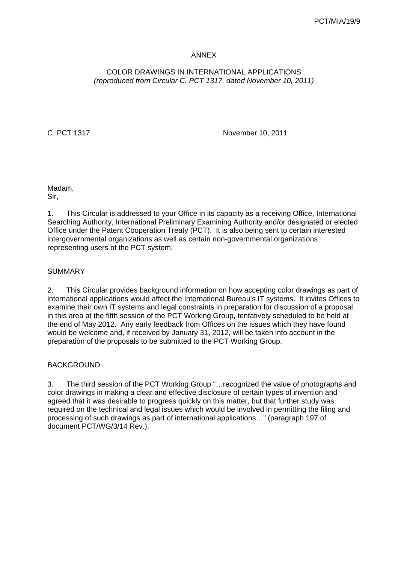### ANNEX

#### COLOR DRAWINGS IN INTERNATIONAL APPLICATIONS *(reproduced from Circular C. PCT 1317, dated November 10, 2011)*

C. PCT 1317 November 10, 2011

#### Madam,

Sir,

1. This Circular is addressed to your Office in its capacity as a receiving Office, International Searching Authority, International Preliminary Examining Authority and/or designated or elected Office under the Patent Cooperation Treaty (PCT). It is also being sent to certain interested intergovernmental organizations as well as certain non-governmental organizations representing users of the PCT system.

### SUMMARY

2. This Circular provides background information on how accepting color drawings as part of international applications would affect the International Bureau's IT systems. It invites Offices to examine their own IT systems and legal constraints in preparation for discussion of a proposal in this area at the fifth session of the PCT Working Group, tentatively scheduled to be held at the end of May 2012. Any early feedback from Offices on the issues which they have found would be welcome and, if received by January 31, 2012, will be taken into account in the preparation of the proposals to be submitted to the PCT Working Group.

### **BACKGROUND**

3. The third session of the PCT Working Group "…recognized the value of photographs and color drawings in making a clear and effective disclosure of certain types of invention and agreed that it was desirable to progress quickly on this matter, but that further study was required on the technical and legal issues which would be involved in permitting the filing and processing of such drawings as part of international applications…" (paragraph 197 of document PCT/WG/3/14 Rev.).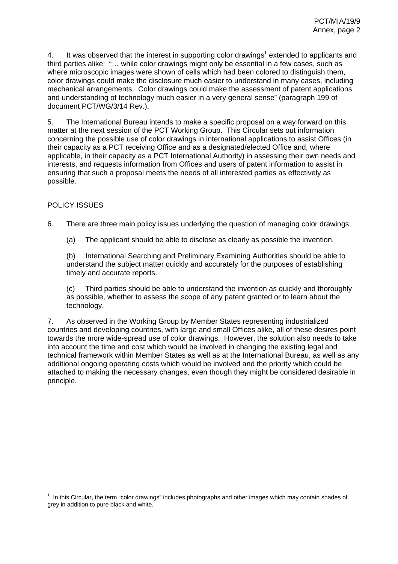4. It was observed that the interest in supporting color drawings<sup>1</sup> extended to applicants and third parties alike: "… while color drawings might only be essential in a few cases, such as where microscopic images were shown of cells which had been colored to distinguish them, color drawings could make the disclosure much easier to understand in many cases, including mechanical arrangements. Color drawings could make the assessment of patent applications and understanding of technology much easier in a very general sense" (paragraph 199 of document PCT/WG/3/14 Rev.).

5. The International Bureau intends to make a specific proposal on a way forward on this matter at the next session of the PCT Working Group. This Circular sets out information concerning the possible use of color drawings in international applications to assist Offices (in their capacity as a PCT receiving Office and as a designated/elected Office and, where applicable, in their capacity as a PCT International Authority) in assessing their own needs and interests, and requests information from Offices and users of patent information to assist in ensuring that such a proposal meets the needs of all interested parties as effectively as possible.

### POLICY ISSUES

6. There are three main policy issues underlying the question of managing color drawings:

(a) The applicant should be able to disclose as clearly as possible the invention.

(b) International Searching and Preliminary Examining Authorities should be able to understand the subject matter quickly and accurately for the purposes of establishing timely and accurate reports.

(c) Third parties should be able to understand the invention as quickly and thoroughly as possible, whether to assess the scope of any patent granted or to learn about the technology.

7. As observed in the Working Group by Member States representing industrialized countries and developing countries, with large and small Offices alike, all of these desires point towards the more wide-spread use of color drawings. However, the solution also needs to take into account the time and cost which would be involved in changing the existing legal and technical framework within Member States as well as at the International Bureau, as well as any additional ongoing operating costs which would be involved and the priority which could be attached to making the necessary changes, even though they might be considered desirable in principle.

<sup>1</sup> In this Circular, the term "color drawings" includes photographs and other images which may contain shades of grey in addition to pure black and white.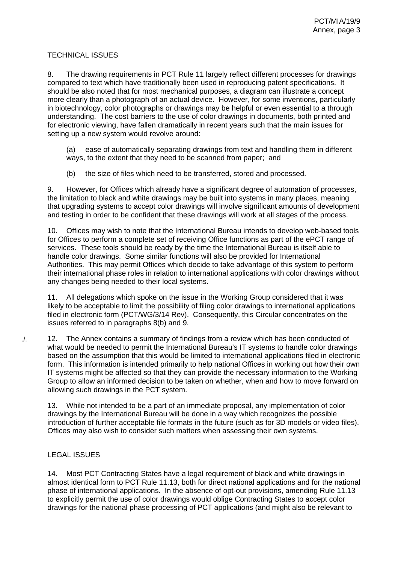# TECHNICAL ISSUES

8. The drawing requirements in PCT Rule 11 largely reflect different processes for drawings compared to text which have traditionally been used in reproducing patent specifications. It should be also noted that for most mechanical purposes, a diagram can illustrate a concept more clearly than a photograph of an actual device. However, for some inventions, particularly in biotechnology, color photographs or drawings may be helpful or even essential to a through understanding. The cost barriers to the use of color drawings in documents, both printed and for electronic viewing, have fallen dramatically in recent years such that the main issues for setting up a new system would revolve around:

(a) ease of automatically separating drawings from text and handling them in different ways, to the extent that they need to be scanned from paper; and

(b) the size of files which need to be transferred, stored and processed.

9. However, for Offices which already have a significant degree of automation of processes, the limitation to black and white drawings may be built into systems in many places, meaning that upgrading systems to accept color drawings will involve significant amounts of development and testing in order to be confident that these drawings will work at all stages of the process.

10. Offices may wish to note that the International Bureau intends to develop web-based tools for Offices to perform a complete set of receiving Office functions as part of the ePCT range of services. These tools should be ready by the time the International Bureau is itself able to handle color drawings. Some similar functions will also be provided for International Authorities. This may permit Offices which decide to take advantage of this system to perform their international phase roles in relation to international applications with color drawings without any changes being needed to their local systems.

11. All delegations which spoke on the issue in the Working Group considered that it was likely to be acceptable to limit the possibility of filing color drawings to international applications filed in electronic form (PCT/WG/3/14 Rev). Consequently, this Circular concentrates on the issues referred to in paragraphs 8(b) and 9.

12. The Annex contains a summary of findings from a review which has been conducted of what would be needed to permit the International Bureau's IT systems to handle color drawings based on the assumption that this would be limited to international applications filed in electronic form. This information is intended primarily to help national Offices in working out how their own IT systems might be affected so that they can provide the necessary information to the Working Group to allow an informed decision to be taken on whether, when and how to move forward on allowing such drawings in the PCT system. ./.

13. While not intended to be a part of an immediate proposal, any implementation of color drawings by the International Bureau will be done in a way which recognizes the possible introduction of further acceptable file formats in the future (such as for 3D models or video files). Offices may also wish to consider such matters when assessing their own systems.

### LEGAL ISSUES

14. Most PCT Contracting States have a legal requirement of black and white drawings in almost identical form to PCT Rule 11.13, both for direct national applications and for the national phase of international applications. In the absence of opt-out provisions, amending Rule 11.13 to explicitly permit the use of color drawings would oblige Contracting States to accept color drawings for the national phase processing of PCT applications (and might also be relevant to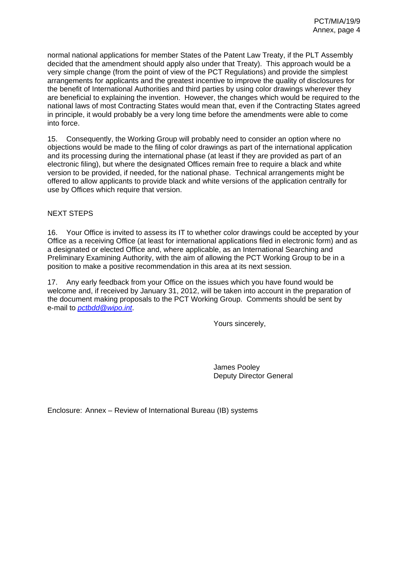normal national applications for member States of the Patent Law Treaty, if the PLT Assembly decided that the amendment should apply also under that Treaty). This approach would be a very simple change (from the point of view of the PCT Regulations) and provide the simplest arrangements for applicants and the greatest incentive to improve the quality of disclosures for the benefit of International Authorities and third parties by using color drawings wherever they are beneficial to explaining the invention. However, the changes which would be required to the national laws of most Contracting States would mean that, even if the Contracting States agreed in principle, it would probably be a very long time before the amendments were able to come into force.

15. Consequently, the Working Group will probably need to consider an option where no objections would be made to the filing of color drawings as part of the international application and its processing during the international phase (at least if they are provided as part of an electronic filing), but where the designated Offices remain free to require a black and white version to be provided, if needed, for the national phase. Technical arrangements might be offered to allow applicants to provide black and white versions of the application centrally for use by Offices which require that version.

### NEXT STEPS

16. Your Office is invited to assess its IT to whether color drawings could be accepted by your Office as a receiving Office (at least for international applications filed in electronic form) and as a designated or elected Office and, where applicable, as an International Searching and Preliminary Examining Authority, with the aim of allowing the PCT Working Group to be in a position to make a positive recommendation in this area at its next session.

17. Any early feedback from your Office on the issues which you have found would be welcome and, if received by January 31, 2012, will be taken into account in the preparation of the document making proposals to the PCT Working Group. Comments should be sent by e-mail to *pctbdd@wipo.int*.

Yours sincerely,

James Pooley Deputy Director General

Enclosure: Annex – Review of International Bureau (IB) systems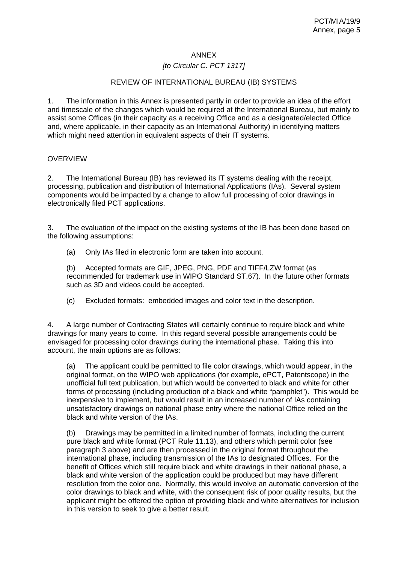#### ANNEX

#### *[to Circular C. PCT 1317]*

#### REVIEW OF INTERNATIONAL BUREAU (IB) SYSTEMS

1. The information in this Annex is presented partly in order to provide an idea of the effort and timescale of the changes which would be required at the International Bureau, but mainly to assist some Offices (in their capacity as a receiving Office and as a designated/elected Office and, where applicable, in their capacity as an International Authority) in identifying matters which might need attention in equivalent aspects of their IT systems.

#### OVERVIEW

2. The International Bureau (IB) has reviewed its IT systems dealing with the receipt, processing, publication and distribution of International Applications (IAs). Several system components would be impacted by a change to allow full processing of color drawings in electronically filed PCT applications.

3. The evaluation of the impact on the existing systems of the IB has been done based on the following assumptions:

(a) Only IAs filed in electronic form are taken into account.

(b) Accepted formats are GIF, JPEG, PNG, PDF and TIFF/LZW format (as recommended for trademark use in WIPO Standard ST.67). In the future other formats such as 3D and videos could be accepted.

(c) Excluded formats: embedded images and color text in the description.

4. A large number of Contracting States will certainly continue to require black and white drawings for many years to come. In this regard several possible arrangements could be envisaged for processing color drawings during the international phase. Taking this into account, the main options are as follows:

(a) The applicant could be permitted to file color drawings, which would appear, in the original format, on the WIPO web applications (for example, ePCT, Patentscope) in the unofficial full text publication, but which would be converted to black and white for other forms of processing (including production of a black and white "pamphlet"). This would be inexpensive to implement, but would result in an increased number of IAs containing unsatisfactory drawings on national phase entry where the national Office relied on the black and white version of the IAs.

(b) Drawings may be permitted in a limited number of formats, including the current pure black and white format (PCT Rule 11.13), and others which permit color (see paragraph 3 above) and are then processed in the original format throughout the international phase, including transmission of the IAs to designated Offices. For the benefit of Offices which still require black and white drawings in their national phase, a black and white version of the application could be produced but may have different resolution from the color one. Normally, this would involve an automatic conversion of the color drawings to black and white, with the consequent risk of poor quality results, but the applicant might be offered the option of providing black and white alternatives for inclusion in this version to seek to give a better result.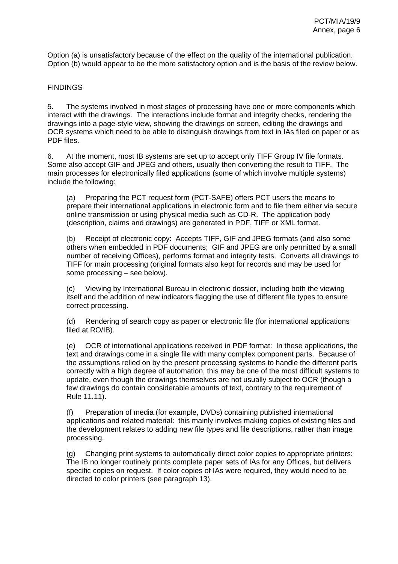Option (a) is unsatisfactory because of the effect on the quality of the international publication. Option (b) would appear to be the more satisfactory option and is the basis of the review below.

### **FINDINGS**

5. The systems involved in most stages of processing have one or more components which interact with the drawings. The interactions include format and integrity checks, rendering the drawings into a page-style view, showing the drawings on screen, editing the drawings and OCR systems which need to be able to distinguish drawings from text in IAs filed on paper or as PDF files.

6. At the moment, most IB systems are set up to accept only TIFF Group IV file formats. Some also accept GIF and JPEG and others, usually then converting the result to TIFF. The main processes for electronically filed applications (some of which involve multiple systems) include the following:

(a) Preparing the PCT request form (PCT-SAFE) offers PCT users the means to prepare their international applications in electronic form and to file them either via secure online transmission or using physical media such as CD-R. The application body (description, claims and drawings) are generated in PDF, TIFF or XML format.

(b) Receipt of electronic copy: Accepts TIFF, GIF and JPEG formats (and also some others when embedded in PDF documents; GIF and JPEG are only permitted by a small number of receiving Offices), performs format and integrity tests. Converts all drawings to TIFF for main processing (original formats also kept for records and may be used for some processing – see below).

(c) Viewing by International Bureau in electronic dossier, including both the viewing itself and the addition of new indicators flagging the use of different file types to ensure correct processing.

(d) Rendering of search copy as paper or electronic file (for international applications filed at RO/IB).

(e) OCR of international applications received in PDF format: In these applications, the text and drawings come in a single file with many complex component parts. Because of the assumptions relied on by the present processing systems to handle the different parts correctly with a high degree of automation, this may be one of the most difficult systems to update, even though the drawings themselves are not usually subject to OCR (though a few drawings do contain considerable amounts of text, contrary to the requirement of Rule 11.11).

(f) Preparation of media (for example, DVDs) containing published international applications and related material: this mainly involves making copies of existing files and the development relates to adding new file types and file descriptions, rather than image processing.

(g) Changing print systems to automatically direct color copies to appropriate printers: The IB no longer routinely prints complete paper sets of IAs for any Offices, but delivers specific copies on request. If color copies of IAs were required, they would need to be directed to color printers (see paragraph 13).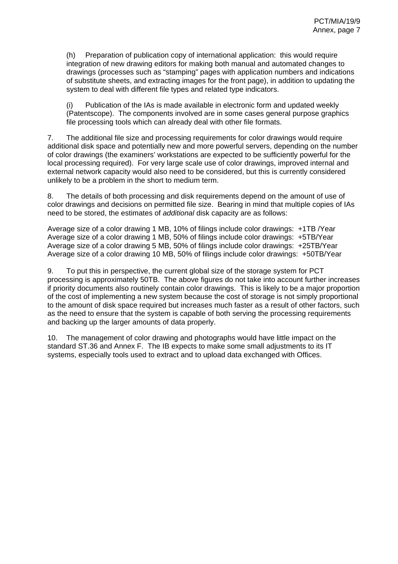(h) Preparation of publication copy of international application: this would require integration of new drawing editors for making both manual and automated changes to drawings (processes such as "stamping" pages with application numbers and indications of substitute sheets, and extracting images for the front page), in addition to updating the system to deal with different file types and related type indicators.

Publication of the IAs is made available in electronic form and updated weekly (Patentscope). The components involved are in some cases general purpose graphics file processing tools which can already deal with other file formats.

7. The additional file size and processing requirements for color drawings would require additional disk space and potentially new and more powerful servers, depending on the number of color drawings (the examiners' workstations are expected to be sufficiently powerful for the local processing required). For very large scale use of color drawings, improved internal and external network capacity would also need to be considered, but this is currently considered unlikely to be a problem in the short to medium term.

8. The details of both processing and disk requirements depend on the amount of use of color drawings and decisions on permitted file size. Bearing in mind that multiple copies of IAs need to be stored, the estimates of *additional* disk capacity are as follows:

Average size of a color drawing 1 MB, 10% of filings include color drawings: +1TB /Year Average size of a color drawing 1 MB, 50% of filings include color drawings: +5TB/Year Average size of a color drawing 5 MB, 50% of filings include color drawings: +25TB/Year Average size of a color drawing 10 MB, 50% of filings include color drawings: +50TB/Year

9. To put this in perspective, the current global size of the storage system for PCT processing is approximately 50TB. The above figures do not take into account further increases if priority documents also routinely contain color drawings. This is likely to be a major proportion of the cost of implementing a new system because the cost of storage is not simply proportional to the amount of disk space required but increases much faster as a result of other factors, such as the need to ensure that the system is capable of both serving the processing requirements and backing up the larger amounts of data properly.

10. The management of color drawing and photographs would have little impact on the standard ST.36 and Annex F. The IB expects to make some small adjustments to its IT systems, especially tools used to extract and to upload data exchanged with Offices.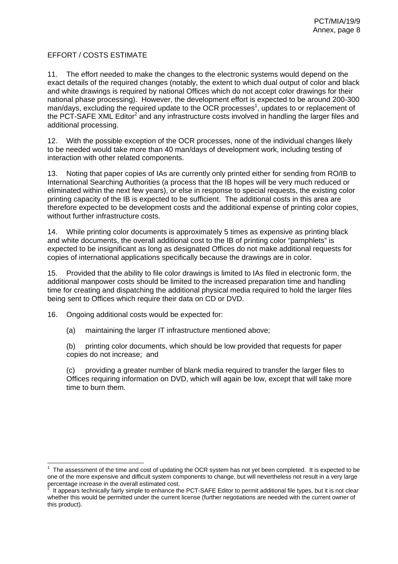## EFFORT / COSTS ESTIMATE

11. The effort needed to make the changes to the electronic systems would depend on the exact details of the required changes (notably, the extent to which dual output of color and black and white drawings is required by national Offices which do not accept color drawings for their national phase processing). However, the development effort is expected to be around 200-300 man/days, excluding the required update to the OCR processes<sup>1</sup>, updates to or replacement of the PCT-SAFE XML Editor<sup>2</sup> and any infrastructure costs involved in handling the larger files and additional processing.

12. With the possible exception of the OCR processes, none of the individual changes likely to be needed would take more than 40 man/days of development work, including testing of interaction with other related components.

13. Noting that paper copies of IAs are currently only printed either for sending from RO/IB to International Searching Authorities (a process that the IB hopes will be very much reduced or eliminated within the next few years), or else in response to special requests, the existing color printing capacity of the IB is expected to be sufficient. The additional costs in this area are therefore expected to be development costs and the additional expense of printing color copies, without further infrastructure costs.

14. While printing color documents is approximately 5 times as expensive as printing black and white documents, the overall additional cost to the IB of printing color "pamphlets" is expected to be insignificant as long as designated Offices do not make additional requests for copies of international applications specifically because the drawings are in color.

15. Provided that the ability to file color drawings is limited to IAs filed in electronic form, the additional manpower costs should be limited to the increased preparation time and handling time for creating and dispatching the additional physical media required to hold the larger files being sent to Offices which require their data on CD or DVD.

16. Ongoing additional costs would be expected for:

 $\overline{a}$ 

(a) maintaining the larger IT infrastructure mentioned above;

(b) printing color documents, which should be low provided that requests for paper copies do not increase; and

(c) providing a greater number of blank media required to transfer the larger files to Offices requiring information on DVD, which will again be low, except that will take more time to burn them.

 $1$  The assessment of the time and cost of updating the OCR system has not yet been completed. It is expected to be one of the more expensive and difficult system components to change, but will nevertheless not result in a very large percentage increase in the overall estimated cost.

<sup>2</sup> It appears technically fairly simple to enhance the PCT-SAFE Editor to permit additional file types, but it is not clear whether this would be permitted under the current license (further negotiations are needed with the current owner of this product).